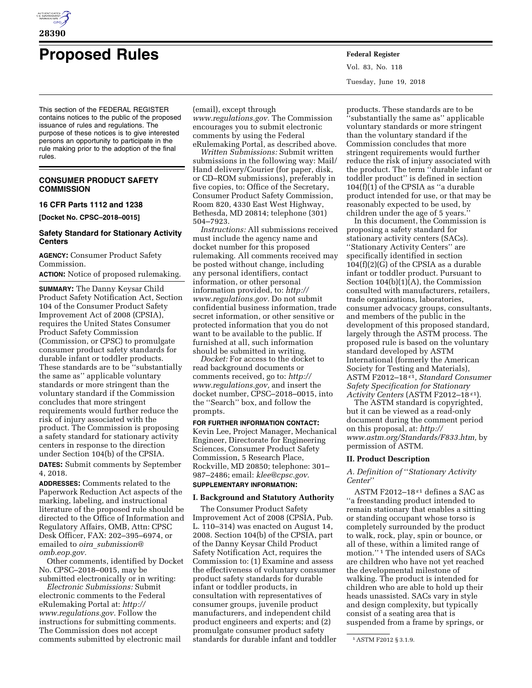

# **Proposed Rules Federal Register**

This section of the FEDERAL REGISTER contains notices to the public of the proposed issuance of rules and regulations. The purpose of these notices is to give interested persons an opportunity to participate in the rule making prior to the adoption of the final rules.

# **CONSUMER PRODUCT SAFETY COMMISSION**

# **16 CFR Parts 1112 and 1238**

**[Docket No. CPSC–2018–0015]** 

# **Safety Standard for Stationary Activity Centers**

**AGENCY:** Consumer Product Safety Commission.

**ACTION:** Notice of proposed rulemaking.

**SUMMARY:** The Danny Keysar Child Product Safety Notification Act, Section 104 of the Consumer Product Safety Improvement Act of 2008 (CPSIA), requires the United States Consumer Product Safety Commission (Commission, or CPSC) to promulgate consumer product safety standards for durable infant or toddler products. These standards are to be ''substantially the same as'' applicable voluntary standards or more stringent than the voluntary standard if the Commission concludes that more stringent requirements would further reduce the risk of injury associated with the product. The Commission is proposing a safety standard for stationary activity centers in response to the direction under Section 104(b) of the CPSIA.

**DATES:** Submit comments by September 4, 2018.

**ADDRESSES:** Comments related to the Paperwork Reduction Act aspects of the marking, labeling, and instructional literature of the proposed rule should be directed to the Office of Information and Regulatory Affairs, OMB, Attn: CPSC Desk Officer, FAX: 202–395–6974, or emailed to *oira*\_*[submission@](mailto:oira_submission@omb.eop.gov) [omb.eop.gov.](mailto:oira_submission@omb.eop.gov)* 

Other comments, identified by Docket No. CPSC–2018–0015, may be submitted electronically or in writing:

*Electronic Submissions:* Submit electronic comments to the Federal eRulemaking Portal at: *[http://](http://www.regulations.gov) [www.regulations.gov.](http://www.regulations.gov)* Follow the instructions for submitting comments. The Commission does not accept comments submitted by electronic mail (email), except through

*[www.regulations.gov.](http://www.regulations.gov)* The Commission encourages you to submit electronic comments by using the Federal eRulemaking Portal, as described above.

*Written Submissions:* Submit written submissions in the following way: Mail/ Hand delivery/Courier (for paper, disk, or CD–ROM submissions), preferably in five copies, to: Office of the Secretary, Consumer Product Safety Commission, Room 820, 4330 East West Highway, Bethesda, MD 20814; telephone (301) 504–7923.

*Instructions:* All submissions received must include the agency name and docket number for this proposed rulemaking. All comments received may be posted without change, including any personal identifiers, contact information, or other personal information provided, to: *[http://](http://www.regulations.gov) [www.regulations.gov.](http://www.regulations.gov)* Do not submit confidential business information, trade secret information, or other sensitive or protected information that you do not want to be available to the public. If furnished at all, such information should be submitted in writing.

*Docket:* For access to the docket to read background documents or comments received, go to: *[http://](http://www.regulations.gov) [www.regulations.gov,](http://www.regulations.gov)* and insert the docket number, CPSC–2018–0015, into the ''Search'' box, and follow the prompts.

**FOR FURTHER INFORMATION CONTACT:**  Kevin Lee, Project Manager, Mechanical Engineer, Directorate for Engineering Sciences, Consumer Product Safety Commission, 5 Research Place, Rockville, MD 20850; telephone: 301– 987–2486; email: *[klee@cpsc.gov.](mailto:klee@cpsc.gov)*  **SUPPLEMENTARY INFORMATION:** 

# **I. Background and Statutory Authority**

The Consumer Product Safety Improvement Act of 2008 (CPSIA, Pub. L. 110–314) was enacted on August 14, 2008. Section 104(b) of the CPSIA, part of the Danny Keysar Child Product Safety Notification Act, requires the Commission to: (1) Examine and assess the effectiveness of voluntary consumer product safety standards for durable infant or toddler products, in consultation with representatives of consumer groups, juvenile product manufacturers, and independent child product engineers and experts; and (2) promulgate consumer product safety standards for durable infant and toddler

Vol. 83, No. 118 Tuesday, June 19, 2018

products. These standards are to be ''substantially the same as'' applicable voluntary standards or more stringent than the voluntary standard if the Commission concludes that more stringent requirements would further reduce the risk of injury associated with the product. The term ''durable infant or toddler product'' is defined in section  $104(f)(1)$  of the CPSIA as "a durable product intended for use, or that may be reasonably expected to be used, by children under the age of 5 years.''

In this document, the Commission is proposing a safety standard for stationary activity centers (SACs). ''Stationary Activity Centers'' are specifically identified in section 104(f)(2)(G) of the CPSIA as a durable infant or toddler product. Pursuant to Section  $104(b)(1)(A)$ , the Commission consulted with manufacturers, retailers, trade organizations, laboratories, consumer advocacy groups, consultants, and members of the public in the development of this proposed standard, largely through the ASTM process. The proposed rule is based on the voluntary standard developed by ASTM International (formerly the American Society for Testing and Materials), ASTM F2012–18 ε1, *Standard Consumer Safety Specification for Stationary Activity Centers* (ASTM F2012–18 ε1).

The ASTM standard is copyrighted, but it can be viewed as a read-only document during the comment period on this proposal, at: *[http://](http://www.astm.org/Standards/F833.htm) [www.astm.org/Standards/F833.htm,](http://www.astm.org/Standards/F833.htm)* by permission of ASTM.

#### **II. Product Description**

*A. Definition of* ''*Stationary Activity Center*''

ASTM F2012–18 ε1 defines a SAC as ''a freestanding product intended to remain stationary that enables a sitting or standing occupant whose torso is completely surrounded by the product to walk, rock, play, spin or bounce, or all of these, within a limited range of motion.'' 1 The intended users of SACs are children who have not yet reached the developmental milestone of walking. The product is intended for children who are able to hold up their heads unassisted. SACs vary in style and design complexity, but typically consist of a seating area that is suspended from a frame by springs, or

<sup>1</sup>ASTM F2012 § 3.1.9.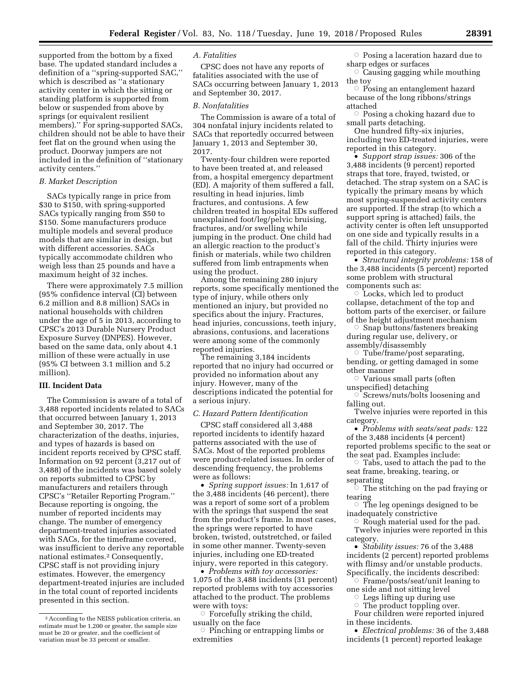supported from the bottom by a fixed base. The updated standard includes a definition of a ''spring-supported SAC,'' which is described as "a stationary activity center in which the sitting or standing platform is supported from below or suspended from above by springs (or equivalent resilient members).'' For spring-supported SACs, children should not be able to have their feet flat on the ground when using the product. Doorway jumpers are not included in the definition of ''stationary activity centers.''

#### *B. Market Description*

SACs typically range in price from \$30 to \$150, with spring-supported SACs typically ranging from \$50 to \$150. Some manufacturers produce multiple models and several produce models that are similar in design, but with different accessories. SACs typically accommodate children who weigh less than 25 pounds and have a maximum height of 32 inches.

There were approximately 7.5 million (95% confidence interval (CI) between 6.2 million and 8.8 million) SACs in national households with children under the age of 5 in 2013, according to CPSC's 2013 Durable Nursery Product Exposure Survey (DNPES). However, based on the same data, only about 4.1 million of these were actually in use (95% CI between 3.1 million and 5.2 million).

# **III. Incident Data**

The Commission is aware of a total of 3,488 reported incidents related to SACs that occurred between January 1, 2013 and September 30, 2017. The characterization of the deaths, injuries, and types of hazards is based on incident reports received by CPSC staff. Information on 92 percent (3,217 out of 3,488) of the incidents was based solely on reports submitted to CPSC by manufacturers and retailers through CPSC's ''Retailer Reporting Program.'' Because reporting is ongoing, the number of reported incidents may change. The number of emergency department-treated injuries associated with SACs, for the timeframe covered, was insufficient to derive any reportable national estimates.2 Consequently, CPSC staff is not providing injury estimates. However, the emergency department-treated injuries are included in the total count of reported incidents presented in this section.

## *A. Fatalities*

CPSC does not have any reports of fatalities associated with the use of SACs occurring between January 1, 2013 and September 30, 2017.

## *B. Nonfatalities*

The Commission is aware of a total of 304 nonfatal injury incidents related to SACs that reportedly occurred between January 1, 2013 and September 30, 2017.

Twenty-four children were reported to have been treated at, and released from, a hospital emergency department (ED). A majority of them suffered a fall, resulting in head injuries, limb fractures, and contusions. A few children treated in hospital EDs suffered unexplained foot/leg/pelvic bruising, fractures, and/or swelling while jumping in the product. One child had an allergic reaction to the product's finish or materials, while two children suffered from limb entrapments when using the product.

Among the remaining 280 injury reports, some specifically mentioned the type of injury, while others only mentioned an injury, but provided no specifics about the injury. Fractures, head injuries, concussions, teeth injury, abrasions, contusions, and lacerations were among some of the commonly reported injuries.

The remaining 3,184 incidents reported that no injury had occurred or provided no information about any injury. However, many of the descriptions indicated the potential for a serious injury.

### *C. Hazard Pattern Identification*

CPSC staff considered all 3,488 reported incidents to identify hazard patterns associated with the use of SACs. Most of the reported problems were product-related issues. In order of descending frequency, the problems were as follows:

• *Spring support issues:* In 1,617 of the 3,488 incidents (46 percent), there was a report of some sort of a problem with the springs that suspend the seat from the product's frame. In most cases, the springs were reported to have broken, twisted, outstretched, or failed in some other manner. Twenty-seven injuries, including one ED-treated injury, were reported in this category.

• *Problems with toy accessories:*  1,075 of the 3,488 incidents (31 percent) reported problems with toy accessories attached to the product. The problems were with toys:

 $\circ$  Forcefully striking the child, usually on the face

 $\circ$  Pinching or entrapping limbs or extremities

 $\circ$  Posing a laceration hazard due to sharp edges or surfaces

 $\circ$  Causing gagging while mouthing the toy

 $\circ$  Posing an entanglement hazard because of the long ribbons/strings attached

 $\circ$  Posing a choking hazard due to small parts detaching.

One hundred fifty-six injuries, including two ED-treated injuries, were reported in this category.

• *Support strap issues:* 306 of the 3,488 incidents (9 percent) reported straps that tore, frayed, twisted, or detached. The strap system on a SAC is typically the primary means by which most spring-suspended activity centers are supported. If the strap (to which a support spring is attached) fails, the activity center is often left unsupported on one side and typically results in a fall of the child. Thirty injuries were reported in this category.

• *Structural integrity problems:* 158 of the 3,488 incidents (5 percent) reported some problem with structural components such as:

 $\circ$  Locks, which led to product collapse, detachment of the top and bottom parts of the exerciser, or failure of the height adjustment mechanism

 $\circ$  Snap buttons/fasteners breaking during regular use, delivery, or assembly/disassembly

Æ Tube/frame/post separating, bending, or getting damaged in some other manner

 $\circ$  Various small parts (often unspecified) detaching

 $\circ$  Screws/nuts/bolts loosening and falling out.

Twelve injuries were reported in this category.

• *Problems with seats/seat pads:* 122 of the 3,488 incidents (4 percent) reported problems specific to the seat or

the seat pad. Examples include: Æ Tabs, used to attach the pad to the seat frame, breaking, tearing, or separating

 $\circ$  The stitching on the pad fraying or tearing

 $\circ$  The leg openings designed to be inadequately constrictive

Æ Rough material used for the pad. Twelve injuries were reported in this category.

• *Stability issues:* 76 of the 3,488 incidents (2 percent) reported problems with flimsy and/or unstable products. Specifically, the incidents described:

Æ Frame/posts/seat/unit leaning to one side and not sitting level

ÆLegs lifting up during use

ÆThe product toppling over.

Four children were reported injured in these incidents.

• *Electrical problems:* 36 of the 3,488 incidents (1 percent) reported leakage

<sup>2</sup>According to the NEISS publication criteria, an estimate must be 1,200 or greater, the sample size must be 20 or greater, and the coefficient of variation must be 33 percent or smaller.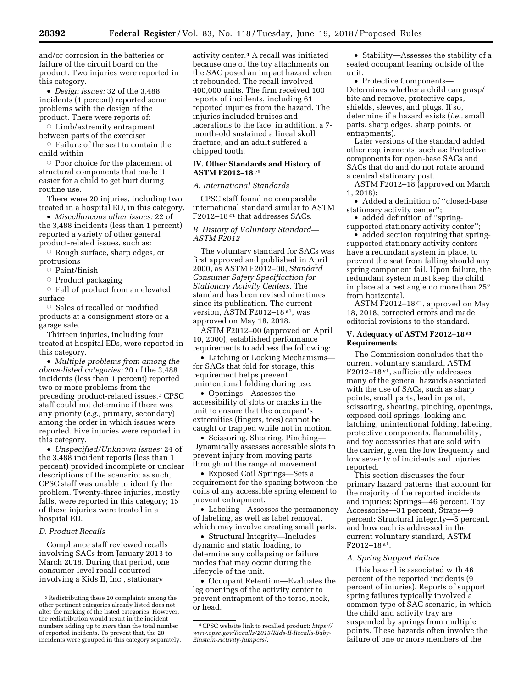and/or corrosion in the batteries or failure of the circuit board on the product. Two injuries were reported in this category.

• *Design issues:* 32 of the 3,488 incidents (1 percent) reported some problems with the design of the product. There were reports of:

 $\circ$  Limb/extremity entrapment between parts of the exerciser

 $\circ$  Failure of the seat to contain the child within

 $\circ$  Poor choice for the placement of structural components that made it easier for a child to get hurt during routine use.

There were 20 injuries, including two treated in a hospital ED, in this category.

• *Miscellaneous other issues:* 22 of the 3,488 incidents (less than 1 percent) reported a variety of other general product-related issues, such as:

 $\circ$  Rough surface, sharp edges, or protrusions

 $\circ$ Paint/finish

**Product packaging** 

 $\circ$  Fall of product from an elevated surface

 $\circ$  Sales of recalled or modified products at a consignment store or a garage sale.

Thirteen injuries, including four treated at hospital EDs, were reported in this category.

• *Multiple problems from among the above-listed categories:* 20 of the 3,488 incidents (less than 1 percent) reported two or more problems from the preceding product-related issues.3 CPSC staff could not determine if there was any priority (*e.g.,* primary, secondary) among the order in which issues were reported. Five injuries were reported in this category.

• *Unspecified/Unknown issues:* 24 of the 3,488 incident reports (less than 1 percent) provided incomplete or unclear descriptions of the scenario; as such, CPSC staff was unable to identify the problem. Twenty-three injuries, mostly falls, were reported in this category; 15 of these injuries were treated in a hospital ED.

## *D. Product Recalls*

Compliance staff reviewed recalls involving SACs from January 2013 to March 2018. During that period, one consumer-level recall occurred involving a Kids II, Inc., stationary

activity center.4 A recall was initiated because one of the toy attachments on the SAC posed an impact hazard when it rebounded. The recall involved 400,000 units. The firm received 100 reports of incidents, including 61 reported injuries from the hazard. The injuries included bruises and lacerations to the face; in addition, a 7 month-old sustained a lineal skull fracture, and an adult suffered a chipped tooth.

#### **IV. Other Standards and History of ASTM F2012–18** ε**1**

## *A. International Standards*

CPSC staff found no comparable international standard similar to ASTM F2012-18 $\varepsilon$ <sup>1</sup> that addresses SACs.

## *B. History of Voluntary Standard— ASTM F2012*

The voluntary standard for SACs was first approved and published in April 2000, as ASTM F2012–00, *Standard Consumer Safety Specification for Stationary Activity Centers.* The standard has been revised nine times since its publication. The current version, ASTM F2012–18 ε1, was approved on May 18, 2018.

ASTM F2012–00 (approved on April 10, 2000), established performance requirements to address the following:

• Latching or Locking Mechanisms for SACs that fold for storage, this requirement helps prevent unintentional folding during use.

• Openings—Assesses the accessibility of slots or cracks in the unit to ensure that the occupant's extremities (fingers, toes) cannot be caught or trapped while not in motion.

• Scissoring, Shearing, Pinching— Dynamically assesses accessible slots to prevent injury from moving parts throughout the range of movement.

• Exposed Coil Springs—Sets a requirement for the spacing between the coils of any accessible spring element to prevent entrapment.

• Labeling—Assesses the permanency of labeling, as well as label removal, which may involve creating small parts.

• Structural Integrity—Includes dynamic and static loading, to determine any collapsing or failure modes that may occur during the lifecycle of the unit.

• Occupant Retention—Evaluates the leg openings of the activity center to prevent entrapment of the torso, neck, or head.

• Stability—Assesses the stability of a seated occupant leaning outside of the unit.

• Protective Components— Determines whether a child can grasp/ bite and remove, protective caps, shields, sleeves, and plugs. If so, determine if a hazard exists (*i.e.,* small parts, sharp edges, sharp points, or entrapments).

Later versions of the standard added other requirements, such as: Protective components for open-base SACs and SACs that do and do not rotate around a central stationary post.

ASTM F2012–18 (approved on March 1, 2018):

• Added a definition of ''closed-base stationary activity center'';

• added definition of "springsupported stationary activity center'';

• added section requiring that springsupported stationary activity centers have a redundant system in place, to prevent the seat from falling should any spring component fail. Upon failure, the redundant system must keep the child in place at a rest angle no more than 25° from horizontal.

ASTM F2012-18 $E$ <sup>1</sup>, approved on May 18, 2018, corrected errors and made editorial revisions to the standard.

## **V. Adequacy of ASTM F2012–18** ε**1 Requirements**

The Commission concludes that the current voluntary standard, ASTM F2012–18 $e^a$ , sufficiently addresses many of the general hazards associated with the use of SACs, such as sharp points, small parts, lead in paint, scissoring, shearing, pinching, openings, exposed coil springs, locking and latching, unintentional folding, labeling, protective components, flammability, and toy accessories that are sold with the carrier, given the low frequency and low severity of incidents and injuries reported.

This section discusses the four primary hazard patterns that account for the majority of the reported incidents and injuries; Springs—46 percent, Toy Accessories—31 percent, Straps—9 percent; Structural integrity—5 percent, and how each is addressed in the current voluntary standard, ASTM F2012–18 ε1.

## *A. Spring Support Failure*

This hazard is associated with 46 percent of the reported incidents (9 percent of injuries). Reports of support spring failures typically involved a common type of SAC scenario, in which the child and activity tray are suspended by springs from multiple points. These hazards often involve the failure of one or more members of the

<sup>3</sup>Redistributing these 20 complaints among the other pertinent categories already listed does not alter the ranking of the listed categories. However, the redistribution would result in the incident numbers adding up to *more* than the total number of reported incidents. To prevent that, the 20 incidents were grouped in this category separately.

<sup>4</sup>CPSC website link to recalled product: *[https://](https://www.cpsc.gov/Recalls/2013/Kids-II-Recalls-Baby-Einstein-Activity-Jumpers/)  [www.cpsc.gov/Recalls/2013/Kids-II-Recalls-Baby-](https://www.cpsc.gov/Recalls/2013/Kids-II-Recalls-Baby-Einstein-Activity-Jumpers/)[Einstein-Activity-Jumpers/.](https://www.cpsc.gov/Recalls/2013/Kids-II-Recalls-Baby-Einstein-Activity-Jumpers/)*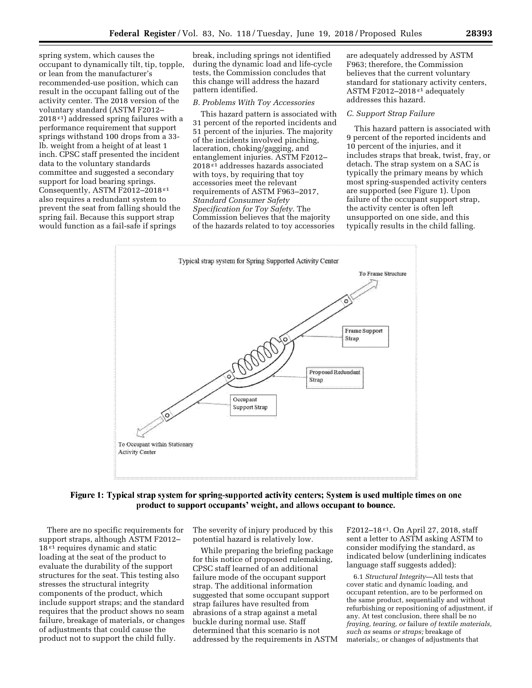spring system, which causes the occupant to dynamically tilt, tip, topple, or lean from the manufacturer's recommended-use position, which can result in the occupant falling out of the activity center. The 2018 version of the voluntary standard (ASTM F2012–  $2018<sup>{</sup>ε1}$  addressed spring failures with a performance requirement that support springs withstand 100 drops from a 33 lb. weight from a height of at least 1 inch. CPSC staff presented the incident data to the voluntary standards committee and suggested a secondary support for load bearing springs. Consequently, ASTM F2012-2018<sup>ε1</sup> also requires a redundant system to prevent the seat from falling should the spring fail. Because this support strap would function as a fail-safe if springs

break, including springs not identified during the dynamic load and life-cycle tests, the Commission concludes that this change will address the hazard pattern identified.

#### *B. Problems With Toy Accessories*

This hazard pattern is associated with 31 percent of the reported incidents and 51 percent of the injuries. The majority of the incidents involved pinching, laceration, choking/gagging, and entanglement injuries. ASTM F2012– 2018 ε1 addresses hazards associated with toys, by requiring that toy accessories meet the relevant requirements of ASTM F963–2017, *Standard Consumer Safety Specification for Toy Safety.* The Commission believes that the majority of the hazards related to toy accessories

are adequately addressed by ASTM F963; therefore, the Commission believes that the current voluntary standard for stationary activity centers, ASTM F2012–2018 ε1 adequately addresses this hazard.

## *C. Support Strap Failure*

This hazard pattern is associated with 9 percent of the reported incidents and 10 percent of the injuries, and it includes straps that break, twist, fray, or detach. The strap system on a SAC is typically the primary means by which most spring-suspended activity centers are supported (see Figure 1). Upon failure of the occupant support strap, the activity center is often left unsupported on one side, and this typically results in the child falling.



# Figure 1: Typical strap system for spring-supported activity centers; System is used multiple times on one product to support occupants' weight, and allows occupant to bounce.

There are no specific requirements for support straps, although ASTM F2012–  $18<sup>ε1</sup>$  requires dynamic and static loading at the seat of the product to evaluate the durability of the support structures for the seat. This testing also stresses the structural integrity components of the product, which include support straps; and the standard requires that the product shows no seam failure, breakage of materials, or changes of adjustments that could cause the product not to support the child fully.

The severity of injury produced by this potential hazard is relatively low.

While preparing the briefing package for this notice of proposed rulemaking, CPSC staff learned of an additional failure mode of the occupant support strap. The additional information suggested that some occupant support strap failures have resulted from abrasions of a strap against a metal buckle during normal use. Staff determined that this scenario is not addressed by the requirements in ASTM

F2012–18 ε1. On April 27, 2018, staff sent a letter to ASTM asking ASTM to consider modifying the standard, as indicated below (underlining indicates language staff suggests added):

6.1 *Structural Integrity—*All tests that cover static and dynamic loading, and occupant retention, are to be performed on the same product, sequentially and without refurbishing or repositioning of adjustment, if any. At test conclusion, there shall be no *fraying, tearing, or* failure *of textile materials, such as* seams *or straps;* breakage of materials*;,* or changes of adjustments that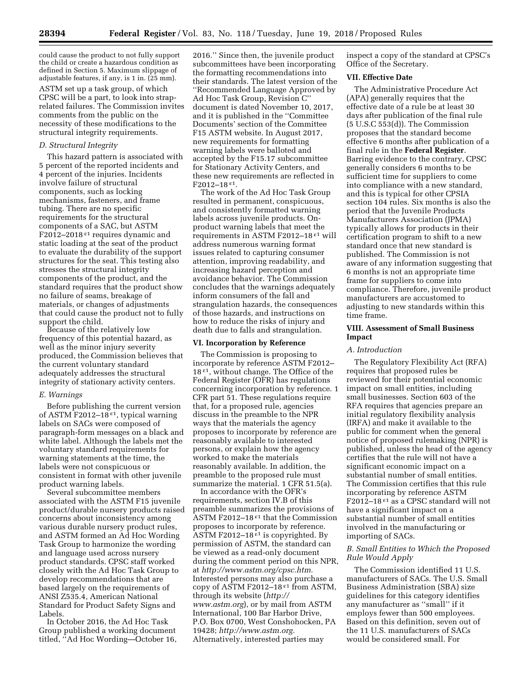could cause the product to not fully support the child or create a hazardous condition as defined in Section 5. Maximum slippage of adjustable features, if any, is 1 in. (25 mm).

ASTM set up a task group, of which CPSC will be a part, to look into straprelated failures. The Commission invites comments from the public on the necessity of these modifications to the structural integrity requirements.

#### *D. Structural Integrity*

This hazard pattern is associated with 5 percent of the reported incidents and 4 percent of the injuries. Incidents involve failure of structural components, such as locking mechanisms, fasteners, and frame tubing. There are no specific requirements for the structural components of a SAC, but ASTM F2012–2018<sup>ε1</sup> requires dynamic and static loading at the seat of the product to evaluate the durability of the support structures for the seat. This testing also stresses the structural integrity components of the product, and the standard requires that the product show no failure of seams, breakage of materials, or changes of adjustments that could cause the product not to fully support the child.

Because of the relatively low frequency of this potential hazard, as well as the minor injury severity produced, the Commission believes that the current voluntary standard adequately addresses the structural integrity of stationary activity centers.

## *E. Warnings*

Before publishing the current version of ASTM F2012–18 $\varepsilon$ <sup>1</sup>, typical warning labels on SACs were composed of paragraph-form messages on a black and white label. Although the labels met the voluntary standard requirements for warning statements at the time, the labels were not conspicuous or consistent in format with other juvenile product warning labels.

Several subcommittee members associated with the ASTM F15 juvenile product/durable nursery products raised concerns about inconsistency among various durable nursery product rules, and ASTM formed an Ad Hoc Wording Task Group to harmonize the wording and language used across nursery product standards. CPSC staff worked closely with the Ad Hoc Task Group to develop recommendations that are based largely on the requirements of ANSI Z535.4, American National Standard for Product Safety Signs and Labels.

In October 2016, the Ad Hoc Task Group published a working document titled, ''Ad Hoc Wording—October 16,

2016.'' Since then, the juvenile product subcommittees have been incorporating the formatting recommendations into their standards. The latest version of the ''Recommended Language Approved by Ad Hoc Task Group, Revision C'' document is dated November 10, 2017, and it is published in the ''Committee Documents' section of the Committee F15 ASTM website. In August 2017, new requirements for formatting warning labels were balloted and accepted by the F15.17 subcommittee for Stationary Activity Centers, and these new requirements are reflected in F<sub>2012</sub>-18ε<sup>1</sup>.

The work of the Ad Hoc Task Group resulted in permanent, conspicuous, and consistently formatted warning labels across juvenile products. Onproduct warning labels that meet the requirements in ASTM F2012–18 $\epsilon$ <sup>1</sup> will address numerous warning format issues related to capturing consumer attention, improving readability, and increasing hazard perception and avoidance behavior. The Commission concludes that the warnings adequately inform consumers of the fall and strangulation hazards, the consequences of those hazards, and instructions on how to reduce the risks of injury and death due to falls and strangulation.

#### **VI. Incorporation by Reference**

The Commission is proposing to incorporate by reference ASTM F2012– 18<sup>ε1</sup>, without change. The Office of the Federal Register (OFR) has regulations concerning incorporation by reference. 1 CFR part 51. These regulations require that, for a proposed rule, agencies discuss in the preamble to the NPR ways that the materials the agency proposes to incorporate by reference are reasonably available to interested persons, or explain how the agency worked to make the materials reasonably available. In addition, the preamble to the proposed rule must summarize the material. 1 CFR 51.5(a).

In accordance with the OFR's requirements, section IV.B of this preamble summarizes the provisions of ASTM F2012–18 $E$ <sup>1</sup> that the Commission proposes to incorporate by reference. ASTM F2012–18 $\epsilon$ <sup>1</sup> is copyrighted. By permission of ASTM, the standard can be viewed as a read-only document during the comment period on this NPR, at *[http://www.astm.org/cpsc.htm.](http://www.astm.org/cpsc.htm)*  Interested persons may also purchase a copy of ASTM F2012-18<sup>ε1</sup> from ASTM, through its website (*[http://](http://www.astm.org) [www.astm.org](http://www.astm.org)*), or by mail from ASTM International, 100 Bar Harbor Drive, P.O. Box 0700, West Conshohocken, PA 19428; *[http://www.astm.org.](http://www.astm.org)*  Alternatively, interested parties may

inspect a copy of the standard at CPSC's Office of the Secretary.

#### **VII. Effective Date**

The Administrative Procedure Act (APA) generally requires that the effective date of a rule be at least 30 days after publication of the final rule (5 U.S.C 553(d)). The Commission proposes that the standard become effective 6 months after publication of a final rule in the **Federal Register**. Barring evidence to the contrary, CPSC generally considers 6 months to be sufficient time for suppliers to come into compliance with a new standard, and this is typical for other CPSIA section 104 rules. Six months is also the period that the Juvenile Products Manufacturers Association (JPMA) typically allows for products in their certification program to shift to a new standard once that new standard is published. The Commission is not aware of any information suggesting that 6 months is not an appropriate time frame for suppliers to come into compliance. Therefore, juvenile product manufacturers are accustomed to adjusting to new standards within this time frame.

# **VIII. Assessment of Small Business Impact**

#### *A. Introduction*

The Regulatory Flexibility Act (RFA) requires that proposed rules be reviewed for their potential economic impact on small entities, including small businesses. Section 603 of the RFA requires that agencies prepare an initial regulatory flexibility analysis (IRFA) and make it available to the public for comment when the general notice of proposed rulemaking (NPR) is published, unless the head of the agency certifies that the rule will not have a significant economic impact on a substantial number of small entities. The Commission certifies that this rule incorporating by reference ASTM F2012–18 $\varepsilon$ <sup>1</sup> as a CPSC standard will not have a significant impact on a substantial number of small entities involved in the manufacturing or importing of SACs.

## *B. Small Entities to Which the Proposed Rule Would Apply*

The Commission identified 11 U.S. manufacturers of SACs. The U.S. Small Business Administration (SBA) size guidelines for this category identifies any manufacturer as ''small'' if it employs fewer than 500 employees. Based on this definition, seven out of the 11 U.S. manufacturers of SACs would be considered small. For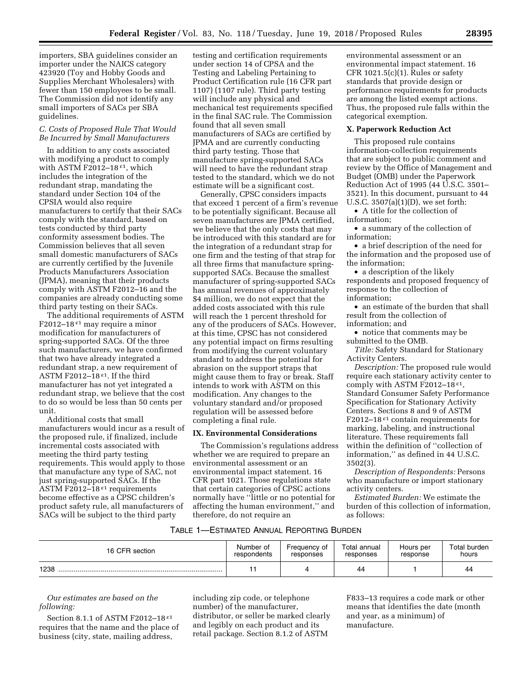importers, SBA guidelines consider an importer under the NAICS category 423920 (Toy and Hobby Goods and Supplies Merchant Wholesalers) with fewer than 150 employees to be small. The Commission did not identify any small importers of SACs per SBA guidelines.

# *C. Costs of Proposed Rule That Would Be Incurred by Small Manufacturers*

In addition to any costs associated with modifying a product to comply with ASTM F2012-18 $\varepsilon$ <sup>1</sup>, which includes the integration of the redundant strap, mandating the standard under Section 104 of the CPSIA would also require manufacturers to certify that their SACs comply with the standard, based on tests conducted by third party conformity assessment bodies. The Commission believes that all seven small domestic manufacturers of SACs are currently certified by the Juvenile Products Manufacturers Association (JPMA), meaning that their products comply with ASTM F2012–16 and the companies are already conducting some third party testing on their SACs.

The additional requirements of ASTM F2012–18 $\epsilon$ <sup>1</sup> may require a minor modification for manufacturers of spring-supported SACs. Of the three such manufacturers, we have confirmed that two have already integrated a redundant strap, a new requirement of ASTM F2012-18 $\varepsilon$ <sup>1</sup>. If the third manufacturer has not yet integrated a redundant strap, we believe that the cost to do so would be less than 50 cents per unit.

Additional costs that small manufacturers would incur as a result of the proposed rule, if finalized, include incremental costs associated with meeting the third party testing requirements. This would apply to those that manufacture any type of SAC, not just spring-supported SACs. If the ASTM F2012–18 $\varepsilon$ <sup>1</sup> requirements become effective as a CPSC children's product safety rule, all manufacturers of SACs will be subject to the third party

testing and certification requirements under section 14 of CPSA and the Testing and Labeling Pertaining to Product Certification rule (16 CFR part 1107) (1107 rule). Third party testing will include any physical and mechanical test requirements specified in the final SAC rule. The Commission found that all seven small manufacturers of SACs are certified by JPMA and are currently conducting third party testing. Those that manufacture spring-supported SACs will need to have the redundant strap tested to the standard, which we do not estimate will be a significant cost.

Generally, CPSC considers impacts that exceed 1 percent of a firm's revenue to be potentially significant. Because all seven manufactures are JPMA certified, we believe that the only costs that may be introduced with this standard are for the integration of a redundant strap for one firm and the testing of that strap for all three firms that manufacture springsupported SACs. Because the smallest manufacturer of spring-supported SACs has annual revenues of approximately \$4 million, we do not expect that the added costs associated with this rule will reach the 1 percent threshold for any of the producers of SACs. However, at this time, CPSC has not considered any potential impact on firms resulting from modifying the current voluntary standard to address the potential for abrasion on the support straps that might cause them to fray or break. Staff intends to work with ASTM on this modification. Any changes to the voluntary standard and/or proposed regulation will be assessed before completing a final rule.

# **IX. Environmental Considerations**

The Commission's regulations address whether we are required to prepare an environmental assessment or an environmental impact statement. 16 CFR part 1021. Those regulations state that certain categories of CPSC actions normally have ''little or no potential for affecting the human environment,'' and therefore, do not require an

environmental assessment or an environmental impact statement. 16 CFR  $1021.5(c)(1)$ . Rules or safety standards that provide design or performance requirements for products are among the listed exempt actions. Thus, the proposed rule falls within the categorical exemption.

#### **X. Paperwork Reduction Act**

This proposed rule contains information-collection requirements that are subject to public comment and review by the Office of Management and Budget (OMB) under the Paperwork Reduction Act of 1995 (44 U.S.C. 3501– 3521). In this document, pursuant to 44 U.S.C. 3507(a)(1)(D), we set forth:

• A title for the collection of information;

• a summary of the collection of information;

• a brief description of the need for the information and the proposed use of the information;

• a description of the likely respondents and proposed frequency of response to the collection of information;

• an estimate of the burden that shall result from the collection of information; and

• notice that comments may be submitted to the OMB.

*Title:* Safety Standard for Stationary Activity Centers.

*Description:* The proposed rule would require each stationary activity center to comply with ASTM F2012–18 $\epsilon$ <sup>1</sup>, Standard Consumer Safety Performance Specification for Stationary Activity Centers. Sections 8 and 9 of ASTM F2012–18 $\epsilon$ <sup>1</sup> contain requirements for marking, labeling, and instructional literature. These requirements fall within the definition of ''collection of information,'' as defined in 44 U.S.C. 3502(3).

*Description of Respondents:* Persons who manufacture or import stationary activity centers.

*Estimated Burden:* We estimate the burden of this collection of information, as follows:

# TABLE 1—ESTIMATED ANNUAL REPORTING BURDEN

| 16 CFR section | Number of   | Frequency of | Total annual | Hours per | Total burden |
|----------------|-------------|--------------|--------------|-----------|--------------|
|                | respondents | responses    | responses    | response  | hours        |
| 1238           |             |              | 44           |           | 44           |

# *Our estimates are based on the following:*

Section 8.1.1 of ASTM F2012-18<sup>ε1</sup> requires that the name and the place of business (city, state, mailing address,

including zip code, or telephone number) of the manufacturer, distributor, or seller be marked clearly and legibly on each product and its retail package. Section 8.1.2 of ASTM

F833–13 requires a code mark or other means that identifies the date (month and year, as a minimum) of manufacture.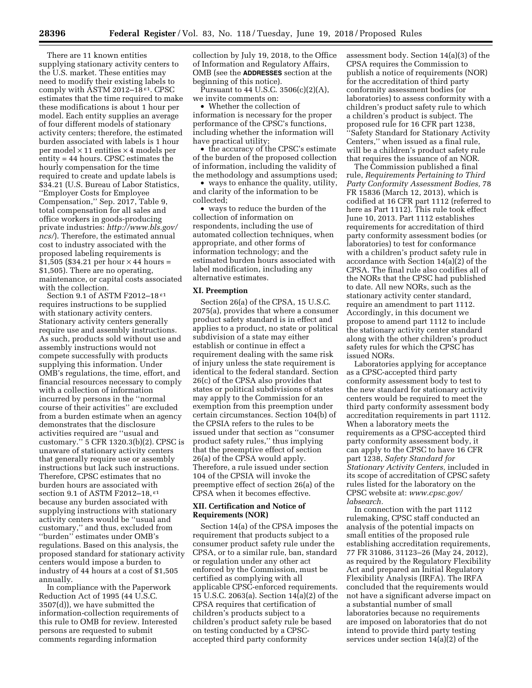There are 11 known entities supplying stationary activity centers to the U.S. market. These entities may need to modify their existing labels to comply with ASTM 2012–18 $\epsilon$ <sup>1</sup>. CPSC estimates that the time required to make these modifications is about 1 hour per model. Each entity supplies an average of four different models of stationary activity centers; therefore, the estimated burden associated with labels is 1 hour per model  $\times$  11 entities  $\times$  4 models per entity = 44 hours. CPSC estimates the hourly compensation for the time required to create and update labels is \$34.21 (U.S. Bureau of Labor Statistics, ''Employer Costs for Employee Compensation,'' Sep. 2017, Table 9, total compensation for all sales and office workers in goods-producing private industries: *[http://www.bls.gov/](http://www.bls.gov/ncs/) [ncs/](http://www.bls.gov/ncs/)*). Therefore, the estimated annual cost to industry associated with the proposed labeling requirements is  $$1,505$  (\$34.21 per hour  $\times$  44 hours = \$1,505). There are no operating, maintenance, or capital costs associated with the collection.

Section 9.1 of ASTM F2012–18 ε1 requires instructions to be supplied with stationary activity centers. Stationary activity centers generally require use and assembly instructions. As such, products sold without use and assembly instructions would not compete successfully with products supplying this information. Under OMB's regulations, the time, effort, and financial resources necessary to comply with a collection of information incurred by persons in the ''normal course of their activities'' are excluded from a burden estimate when an agency demonstrates that the disclosure activities required are ''usual and customary.'' 5 CFR 1320.3(b)(2). CPSC is unaware of stationary activity centers that generally require use or assembly instructions but lack such instructions. Therefore, CPSC estimates that no burden hours are associated with section 9.1 of ASTM F2012–18, ε1 because any burden associated with supplying instructions with stationary activity centers would be ''usual and customary,'' and thus, excluded from ''burden'' estimates under OMB's regulations. Based on this analysis, the proposed standard for stationary activity centers would impose a burden to industry of 44 hours at a cost of \$1,505 annually.

In compliance with the Paperwork Reduction Act of 1995 (44 U.S.C. 3507(d)), we have submitted the information-collection requirements of this rule to OMB for review. Interested persons are requested to submit comments regarding information

collection by July 19, 2018, to the Office of Information and Regulatory Affairs, OMB (see the **ADDRESSES** section at the beginning of this notice).

Pursuant to 44 U.S.C.  $3506(c)(2)(A)$ , we invite comments on:

• Whether the collection of information is necessary for the proper performance of the CPSC's functions, including whether the information will have practical utility;

• the accuracy of the CPSC's estimate of the burden of the proposed collection of information, including the validity of the methodology and assumptions used;

• ways to enhance the quality, utility, and clarity of the information to be collected;

• ways to reduce the burden of the collection of information on respondents, including the use of automated collection techniques, when appropriate, and other forms of information technology; and the estimated burden hours associated with label modification, including any alternative estimates.

#### **XI. Preemption**

Section 26(a) of the CPSA, 15 U.S.C. 2075(a), provides that where a consumer product safety standard is in effect and applies to a product, no state or political subdivision of a state may either establish or continue in effect a requirement dealing with the same risk of injury unless the state requirement is identical to the federal standard. Section 26(c) of the CPSA also provides that states or political subdivisions of states may apply to the Commission for an exemption from this preemption under certain circumstances. Section 104(b) of the CPSIA refers to the rules to be issued under that section as ''consumer product safety rules,'' thus implying that the preemptive effect of section 26(a) of the CPSA would apply. Therefore, a rule issued under section 104 of the CPSIA will invoke the preemptive effect of section 26(a) of the CPSA when it becomes effective.

## **XII. Certification and Notice of Requirements (NOR)**

Section 14(a) of the CPSA imposes the requirement that products subject to a consumer product safety rule under the CPSA, or to a similar rule, ban, standard or regulation under any other act enforced by the Commission, must be certified as complying with all applicable CPSC-enforced requirements. 15 U.S.C. 2063(a). Section 14(a)(2) of the CPSA requires that certification of children's products subject to a children's product safety rule be based on testing conducted by a CPSCaccepted third party conformity

assessment body. Section 14(a)(3) of the CPSA requires the Commission to publish a notice of requirements (NOR) for the accreditation of third party conformity assessment bodies (or laboratories) to assess conformity with a children's product safety rule to which a children's product is subject. The proposed rule for 16 CFR part 1238, ''Safety Standard for Stationary Activity Centers,'' when issued as a final rule, will be a children's product safety rule that requires the issuance of an NOR.

The Commission published a final rule, *Requirements Pertaining to Third Party Conformity Assessment Bodies,* 78 FR 15836 (March 12, 2013), which is codified at 16 CFR part 1112 (referred to here as Part 1112). This rule took effect June 10, 2013. Part 1112 establishes requirements for accreditation of third party conformity assessment bodies (or laboratories) to test for conformance with a children's product safety rule in accordance with Section 14(a)(2) of the CPSA. The final rule also codifies all of the NORs that the CPSC had published to date. All new NORs, such as the stationary activity center standard, require an amendment to part 1112. Accordingly, in this document we propose to amend part 1112 to include the stationary activity center standard along with the other children's product safety rules for which the CPSC has issued NORs.

Laboratories applying for acceptance as a CPSC-accepted third party conformity assessment body to test to the new standard for stationary activity centers would be required to meet the third party conformity assessment body accreditation requirements in part 1112. When a laboratory meets the requirements as a CPSC-accepted third party conformity assessment body, it can apply to the CPSC to have 16 CFR part 1238, *Safety Standard for Stationary Activity Centers,* included in its scope of accreditation of CPSC safety rules listed for the laboratory on the CPSC website at: *[www.cpsc.gov/](http://www.cpsc.gov/labsearch)  [labsearch.](http://www.cpsc.gov/labsearch)* 

In connection with the part 1112 rulemaking, CPSC staff conducted an analysis of the potential impacts on small entities of the proposed rule establishing accreditation requirements, 77 FR 31086, 31123–26 (May 24, 2012), as required by the Regulatory Flexibility Act and prepared an Initial Regulatory Flexibility Analysis (IRFA). The IRFA concluded that the requirements would not have a significant adverse impact on a substantial number of small laboratories because no requirements are imposed on laboratories that do not intend to provide third party testing services under section 14(a)(2) of the